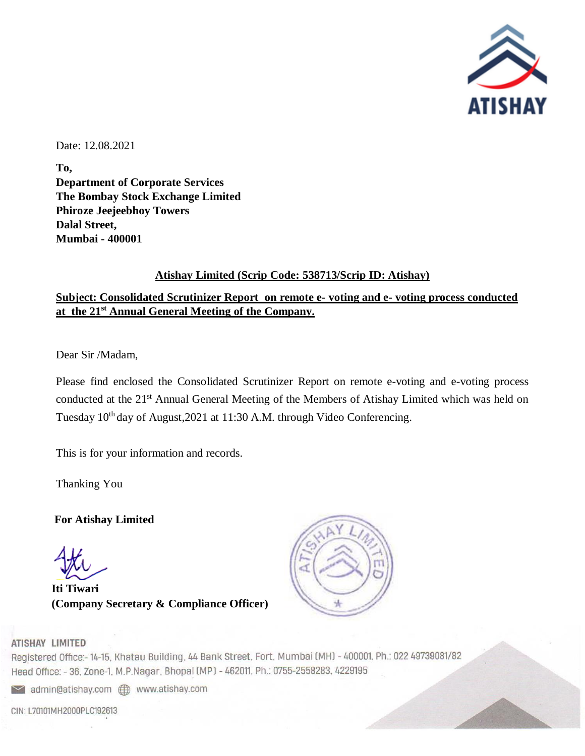

Date: 12.08.2021

**To, Department of Corporate Services The Bombay Stock Exchange Limited Phiroze Jeejeebhoy Towers Dalal Street, Mumbai - 400001**

#### **Atishay Limited (Scrip Code: 538713/Scrip ID: Atishay)**

#### **Subject: Consolidated Scrutinizer Report on remote e- voting and e- voting process conducted at the 21 st Annual General Meeting of the Company.**

Dear Sir /Madam,

Please find enclosed the Consolidated Scrutinizer Report on remote e-voting and e-voting process conducted at the 21<sup>st</sup> Annual General Meeting of the Members of Atishay Limited which was held on Tuesday  $10^{th}$  day of August, 2021 at 11:30 A.M. through Video Conferencing.

This is for your information and records.

Thanking You

**For Atishay Limited** 

**Iti Tiwari (Company Secretary & Compliance Officer)**



#### **ATISHAY LIMITED**

Registered Office:-14-15, Khatau Building, 44 Bank Street, Fort, Mumbai (MH) - 400001, Ph.: 022 49739081/82 Head Office: - 36, Zone-1, M.P.Nagar, Bhopal (MP) - 462011, Ph.: 0755-2558283, 4229195

admin@atishay.com @ www.atishay.com

CIN: L70101MH2000PLC192613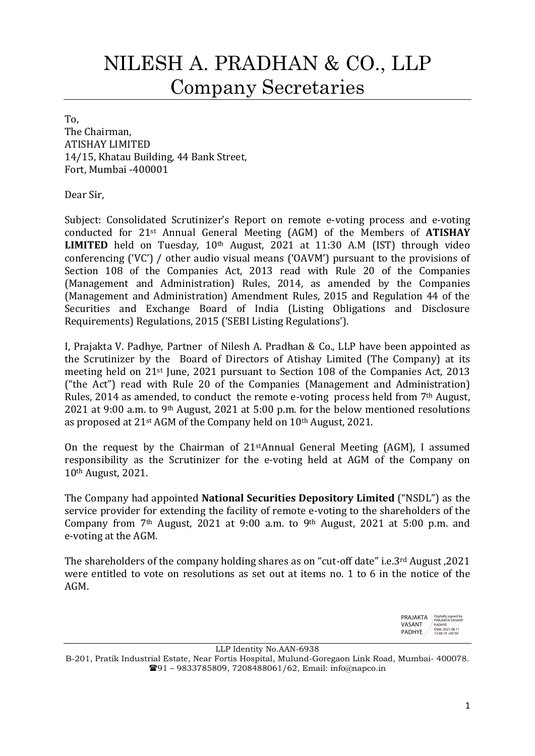# NILESH A. PRADHAN & CO., LLP Company Secretaries

To, The Chairman, ATISHAY LIMITED 14/15, Khatau Building, 44 Bank Street, Fort, Mumbai -400001

Dear Sir,

Subject: Consolidated Scrutinizer's Report on remote e-voting process and e-voting conducted for 21st Annual General Meeting (AGM) of the Members of ATISHAY **LIMITED** held on Tuesday,  $10<sup>th</sup>$  August, 2021 at 11:30 A.M (IST) through video conferencing ('VC') / other audio visual means ('OAVM') pursuant to the provisions of Section 108 of the Companies Act, 2013 read with Rule 20 of the Companies (Management and Administration) Rules, 2014, as amended by the Companies (Management and Administration) Amendment Rules, 2015 and Regulation 44 of the Securities and Exchange Board of India (Listing Obligations and Disclosure Requirements) Regulations, 2015 ('SEBI Listing Regulations').

I, Prajakta V. Padhye, Partner of Nilesh A. Pradhan & Co., LLP have been appointed as the Scrutinizer by the Board of Directors of Atishay Limited (The Company) at its meeting held on 21st June, 2021 pursuant to Section 108 of the Companies Act, 2013 ("the Act") read with Rule 20 of the Companies (Management and Administration) Rules, 2014 as amended, to conduct the remote e-voting process held from 7th August, 2021 at 9:00 a.m. to 9th August, 2021 at 5:00 p.m. for the below mentioned resolutions as proposed at 21st AGM of the Company held on 10th August, 2021.

On the request by the Chairman of 21stAnnual General Meeting (AGM), I assumed responsibility as the Scrutinizer for the e-voting held at AGM of the Company on 10th August, 2021.

The Company had appointed National Securities Depository Limited ("NSDL") as the service provider for extending the facility of remote e-voting to the shareholders of the Company from  $7<sup>th</sup>$  August, 2021 at 9:00 a.m. to 9<sup>th</sup> August, 2021 at 5:00 p.m. and e-voting at the AGM.

The shareholders of the company holding shares as on "cut-off date" i.e.3rd August ,2021 were entitled to vote on resolutions as set out at items no. 1 to 6 in the notice of the AGM.



LLP Identity No.AAN-6938

B-201, Pratik Industrial Estate, Near Fortis Hospital, Mulund-Goregaon Link Road, Mumbai- 400078. 91 – 9833785809, 7208488061/62, Email: info@napco.in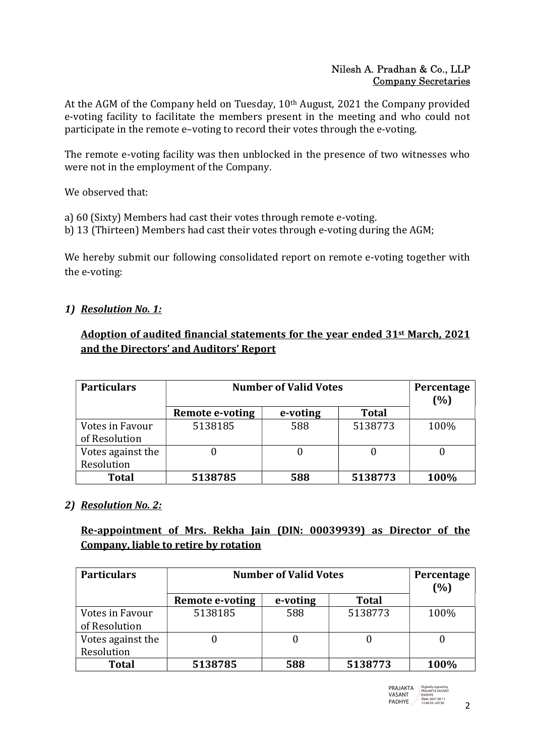#### Nilesh A. Pradhan & Co., LLP Company Secretaries

At the AGM of the Company held on Tuesday, 10th August, 2021 the Company provided e-voting facility to facilitate the members present in the meeting and who could not participate in the remote e–voting to record their votes through the e-voting.

The remote e-voting facility was then unblocked in the presence of two witnesses who were not in the employment of the Company.

We observed that:

- a) 60 (Sixty) Members had cast their votes through remote e-voting.
- b) 13 (Thirteen) Members had cast their votes through e-voting during the AGM;

We hereby submit our following consolidated report on remote e-voting together with the e-voting:

# 1) Resolution No. 1:

# Adoption of audited financial statements for the year ended 31st March, 2021 and the Directors' and Auditors' Report

| <b>Particulars</b> | <b>Number of Valid Votes</b> | Percentage<br>(%) |              |      |
|--------------------|------------------------------|-------------------|--------------|------|
|                    | Remote e-voting              | e-voting          | <b>Total</b> |      |
| Votes in Favour    | 5138185                      | 588               | 5138773      | 100% |
| of Resolution      |                              |                   |              |      |
| Votes against the  |                              |                   |              |      |
| Resolution         |                              |                   |              |      |
| <b>Total</b>       | 5138785                      | 588               | 5138773      | 100% |

# 2) Resolution No. 2:

# Re-appointment of Mrs. Rekha Jain (DIN: 00039939) as Director of the Company, liable to retire by rotation

| <b>Particulars</b> | <b>Number of Valid Votes</b> |          |              | Percentage<br>(%) |
|--------------------|------------------------------|----------|--------------|-------------------|
|                    | <b>Remote e-voting</b>       | e-voting | <b>Total</b> |                   |
| Votes in Favour    | 5138185                      | 588      | 5138773      | 100%              |
| of Resolution      |                              |          |              |                   |
| Votes against the  |                              |          |              |                   |
| Resolution         |                              |          |              |                   |
| <b>Total</b>       | 5138785                      | 588      | 5138773      | 100%              |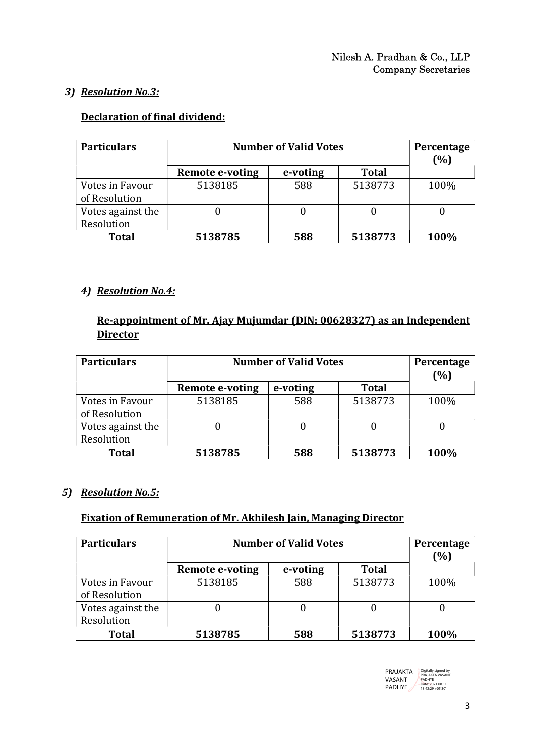## 3) Resolution No.3:

# Declaration of final dividend:

| <b>Particulars</b> | <b>Number of Valid Votes</b> | Percentage<br>(%) |              |      |
|--------------------|------------------------------|-------------------|--------------|------|
|                    | Remote e-voting              | e-voting          | <b>Total</b> |      |
| Votes in Favour    | 5138185                      | 588               | 5138773      | 100% |
| of Resolution      |                              |                   |              |      |
| Votes against the  | $\Omega$                     |                   |              |      |
| Resolution         |                              |                   |              |      |
| <b>Total</b>       | 5138785                      | 588               | 5138773      | 100% |

## 4) Resolution No.4:

# Re-appointment of Mr. Ajay Mujumdar (DIN: 00628327) as an Independent **Director**

| <b>Particulars</b> | <b>Number of Valid Votes</b> | Percentage<br>(%) |              |      |
|--------------------|------------------------------|-------------------|--------------|------|
|                    | Remote e-voting              | e-voting          | <b>Total</b> |      |
| Votes in Favour    | 5138185                      | 588               | 5138773      | 100% |
| of Resolution      |                              |                   |              |      |
| Votes against the  |                              |                   |              |      |
| Resolution         |                              |                   |              |      |
| <b>Total</b>       | 5138785                      | 588               | 5138773      | 100% |

#### 5) Resolution No.5:

#### Fixation of Remuneration of Mr. Akhilesh Jain, Managing Director

| <b>Particulars</b> | <b>Number of Valid Votes</b> |          |              | Percentage<br>(%) |
|--------------------|------------------------------|----------|--------------|-------------------|
|                    | <b>Remote e-voting</b>       | e-voting | <b>Total</b> |                   |
| Votes in Favour    | 5138185                      | 588      | 5138773      | 100%              |
| of Resolution      |                              |          |              |                   |
| Votes against the  |                              |          |              |                   |
| Resolution         |                              |          |              |                   |
| <b>Total</b>       | 5138785                      | 588      | 5138773      | 100%              |

| PRAJAKTA      | Digitally signed by<br>PRAJAKTA VASANT |  |
|---------------|----------------------------------------|--|
| VASANT        | <b>PADHYF</b><br>Date: 2021.08.11      |  |
| <b>PADHYE</b> | 13:42:29 +05'30"                       |  |